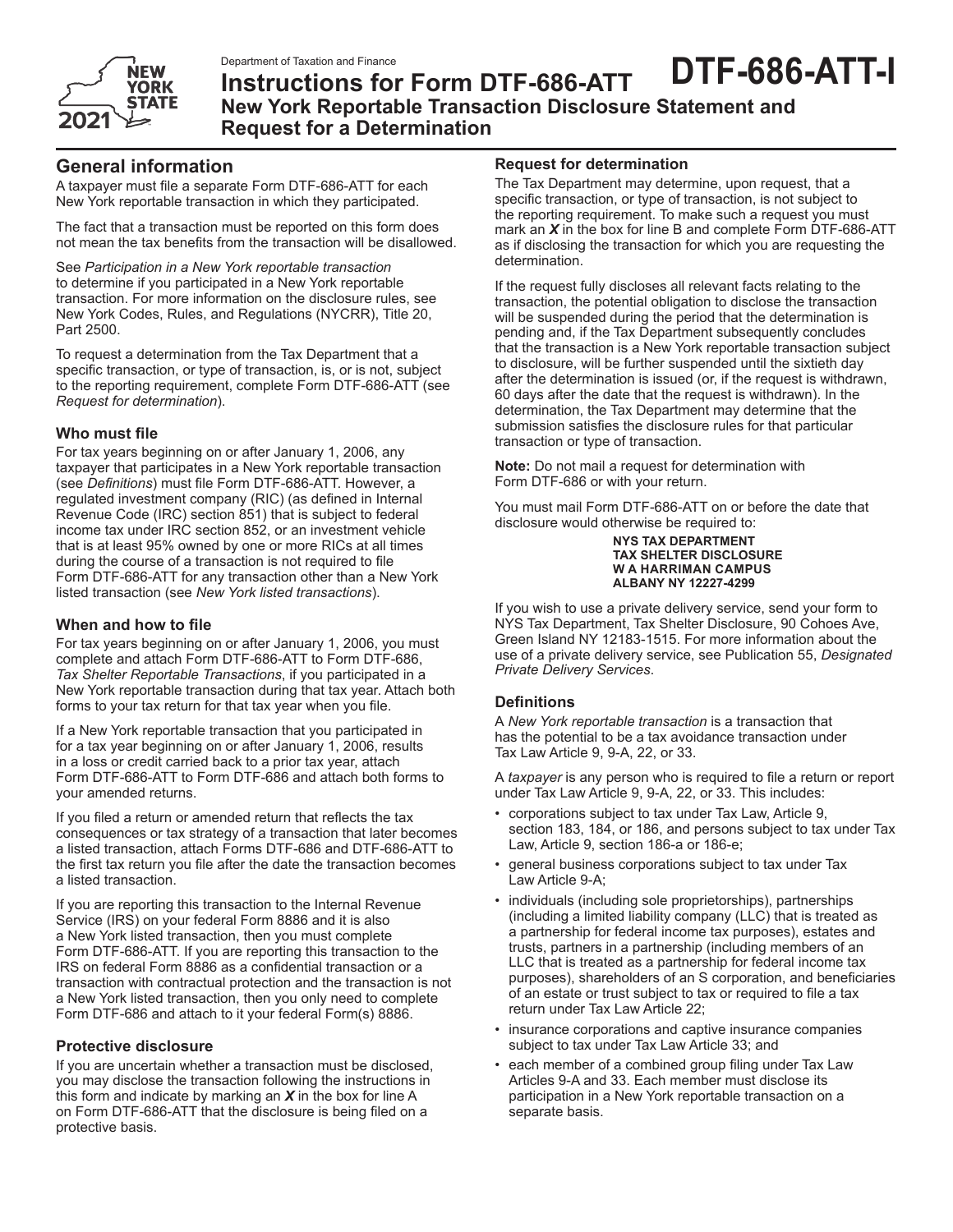

# **Instructions for Form DTF-686-ATT New York Reportable Transaction Disclosure Statement and Request for a Determination DTF-686-ATT-I**

# **General information**

A taxpayer must file a separate Form DTF-686-ATT for each New York reportable transaction in which they participated.

The fact that a transaction must be reported on this form does not mean the tax benefits from the transaction will be disallowed.

See *Participation in a New York reportable transaction* to determine if you participated in a New York reportable transaction. For more information on the disclosure rules, see New York Codes, Rules, and Regulations (NYCRR), Title 20, Part 2500.

To request a determination from the Tax Department that a specific transaction, or type of transaction, is, or is not, subject to the reporting requirement, complete Form DTF‑686‑ATT (see *Request for determination*).

## **Who must file**

For tax years beginning on or after January 1, 2006, any taxpayer that participates in a New York reportable transaction (see *Definitions*) must file Form DTF-686-ATT. However, a regulated investment company (RIC) (as defined in Internal Revenue Code (IRC) section 851) that is subject to federal income tax under IRC section 852, or an investment vehicle that is at least 95% owned by one or more RICs at all times during the course of a transaction is not required to file Form DTF-686-ATT for any transaction other than a New York listed transaction (see *New York listed transactions*).

## **When and how to file**

For tax years beginning on or after January 1, 2006, you must complete and attach Form DTF-686-ATT to Form DTF-686, *Tax Shelter Reportable Transactions*, if you participated in a New York reportable transaction during that tax year. Attach both forms to your tax return for that tax year when you file.

If a New York reportable transaction that you participated in for a tax year beginning on or after January 1, 2006, results in a loss or credit carried back to a prior tax year, attach Form DTF-686-ATT to Form DTF-686 and attach both forms to your amended returns.

If you filed a return or amended return that reflects the tax consequences or tax strategy of a transaction that later becomes a listed transaction, attach Forms DTF-686 and DTF-686-ATT to the first tax return you file after the date the transaction becomes a listed transaction.

If you are reporting this transaction to the Internal Revenue Service (IRS) on your federal Form 8886 and it is also a New York listed transaction, then you must complete Form DTF-686-ATT. If you are reporting this transaction to the IRS on federal Form 8886 as a confidential transaction or a transaction with contractual protection and the transaction is not a New York listed transaction, then you only need to complete Form DTF-686 and attach to it your federal Form(s) 8886.

## **Protective disclosure**

If you are uncertain whether a transaction must be disclosed, you may disclose the transaction following the instructions in this form and indicate by marking an *X* in the box for line A on Form DTF-686-ATT that the disclosure is being filed on a protective basis.

### **Request for determination**

The Tax Department may determine, upon request, that a specific transaction, or type of transaction, is not subject to the reporting requirement. To make such a request you must mark an *X* in the box for line B and complete Form DTF-686-ATT as if disclosing the transaction for which you are requesting the determination.

If the request fully discloses all relevant facts relating to the transaction, the potential obligation to disclose the transaction will be suspended during the period that the determination is pending and, if the Tax Department subsequently concludes that the transaction is a New York reportable transaction subject to disclosure, will be further suspended until the sixtieth day after the determination is issued (or, if the request is withdrawn, 60 days after the date that the request is withdrawn). In the determination, the Tax Department may determine that the submission satisfies the disclosure rules for that particular transaction or type of transaction.

**Note:** Do not mail a request for determination with Form DTF‑686 or with your return.

You must mail Form DTF‑686‑ATT on or before the date that disclosure would otherwise be required to:

#### **NYS TAX DEPARTMENT TAX SHELTER DISCLOSURE W A HARRIMAN CAMPUS ALBANY NY 12227-4299**

If you wish to use a private delivery service, send your form to NYS Tax Department, Tax Shelter Disclosure, 90 Cohoes Ave, Green Island NY 12183-1515. For more information about the use of a private delivery service, see Publication 55, *Designated Private Delivery Services*.

## **Definitions**

A *New York reportable transaction* is a transaction that has the potential to be a tax avoidance transaction under Tax Law Article 9, 9-A, 22, or 33.

A *taxpayer* is any person who is required to file a return or report under Tax Law Article 9, 9-A, 22, or 33. This includes:

- corporations subject to tax under Tax Law, Article 9, section 183, 184, or 186, and persons subject to tax under Tax Law, Article 9, section 186-a or 186-e;
- general business corporations subject to tax under Tax Law Article 9-A;
- individuals (including sole proprietorships), partnerships (including a limited liability company (LLC) that is treated as a partnership for federal income tax purposes), estates and trusts, partners in a partnership (including members of an LLC that is treated as a partnership for federal income tax purposes), shareholders of an S corporation, and beneficiaries of an estate or trust subject to tax or required to file a tax return under Tax Law Article 22;
- insurance corporations and captive insurance companies subject to tax under Tax Law Article 33; and
- each member of a combined group filing under Tax Law Articles 9-A and 33. Each member must disclose its participation in a New York reportable transaction on a separate basis.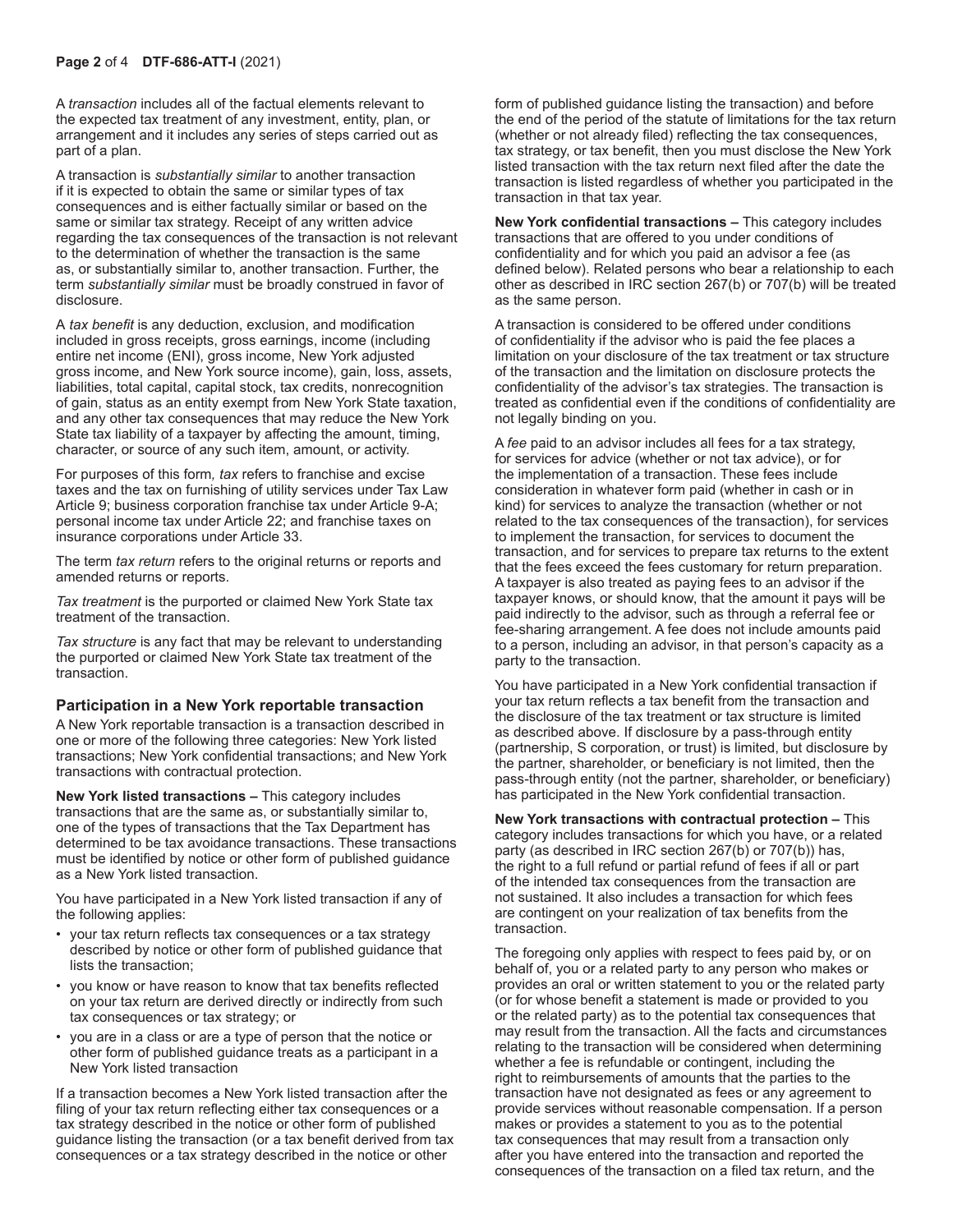A *transaction* includes all of the factual elements relevant to the expected tax treatment of any investment, entity, plan, or arrangement and it includes any series of steps carried out as part of a plan.

A transaction is *substantially similar* to another transaction if it is expected to obtain the same or similar types of tax consequences and is either factually similar or based on the same or similar tax strategy. Receipt of any written advice regarding the tax consequences of the transaction is not relevant to the determination of whether the transaction is the same as, or substantially similar to, another transaction. Further, the term *substantially similar* must be broadly construed in favor of disclosure.

A *tax benefit* is any deduction, exclusion, and modification included in gross receipts, gross earnings, income (including entire net income (ENI), gross income, New York adjusted gross income, and New York source income), gain, loss, assets, liabilities, total capital, capital stock, tax credits, nonrecognition of gain, status as an entity exempt from New York State taxation, and any other tax consequences that may reduce the New York State tax liability of a taxpayer by affecting the amount, timing, character, or source of any such item, amount, or activity.

For purposes of this form*, tax* refers to franchise and excise taxes and the tax on furnishing of utility services under Tax Law Article 9; business corporation franchise tax under Article 9-A; personal income tax under Article 22; and franchise taxes on insurance corporations under Article 33.

The term *tax return* refers to the original returns or reports and amended returns or reports.

*Tax treatment* is the purported or claimed New York State tax treatment of the transaction.

*Tax structure* is any fact that may be relevant to understanding the purported or claimed New York State tax treatment of the transaction.

#### **Participation in a New York reportable transaction**

A New York reportable transaction is a transaction described in one or more of the following three categories: New York listed transactions; New York confidential transactions; and New York transactions with contractual protection.

**New York listed transactions –** This category includes transactions that are the same as, or substantially similar to, one of the types of transactions that the Tax Department has determined to be tax avoidance transactions. These transactions must be identified by notice or other form of published guidance as a New York listed transaction.

You have participated in a New York listed transaction if any of the following applies:

- your tax return reflects tax consequences or a tax strategy described by notice or other form of published guidance that lists the transaction;
- you know or have reason to know that tax benefits reflected on your tax return are derived directly or indirectly from such tax consequences or tax strategy; or
- you are in a class or are a type of person that the notice or other form of published guidance treats as a participant in a New York listed transaction

If a transaction becomes a New York listed transaction after the filing of your tax return reflecting either tax consequences or a tax strategy described in the notice or other form of published guidance listing the transaction (or a tax benefit derived from tax consequences or a tax strategy described in the notice or other

form of published guidance listing the transaction) and before the end of the period of the statute of limitations for the tax return (whether or not already filed) reflecting the tax consequences, tax strategy, or tax benefit, then you must disclose the New York listed transaction with the tax return next filed after the date the transaction is listed regardless of whether you participated in the transaction in that tax year.

**New York confidential transactions –** This category includes transactions that are offered to you under conditions of confidentiality and for which you paid an advisor a fee (as defined below). Related persons who bear a relationship to each other as described in IRC section 267(b) or 707(b) will be treated as the same person.

A transaction is considered to be offered under conditions of confidentiality if the advisor who is paid the fee places a limitation on your disclosure of the tax treatment or tax structure of the transaction and the limitation on disclosure protects the confidentiality of the advisor's tax strategies. The transaction is treated as confidential even if the conditions of confidentiality are not legally binding on you.

A *fee* paid to an advisor includes all fees for a tax strategy, for services for advice (whether or not tax advice), or for the implementation of a transaction. These fees include consideration in whatever form paid (whether in cash or in kind) for services to analyze the transaction (whether or not related to the tax consequences of the transaction), for services to implement the transaction, for services to document the transaction, and for services to prepare tax returns to the extent that the fees exceed the fees customary for return preparation. A taxpayer is also treated as paying fees to an advisor if the taxpayer knows, or should know, that the amount it pays will be paid indirectly to the advisor, such as through a referral fee or fee-sharing arrangement. A fee does not include amounts paid to a person, including an advisor, in that person's capacity as a party to the transaction.

You have participated in a New York confidential transaction if your tax return reflects a tax benefit from the transaction and the disclosure of the tax treatment or tax structure is limited as described above. If disclosure by a pass-through entity (partnership, S corporation, or trust) is limited, but disclosure by the partner, shareholder, or beneficiary is not limited, then the pass-through entity (not the partner, shareholder, or beneficiary) has participated in the New York confidential transaction.

**New York transactions with contractual protection –** This category includes transactions for which you have, or a related party (as described in IRC section 267(b) or 707(b)) has, the right to a full refund or partial refund of fees if all or part of the intended tax consequences from the transaction are not sustained. It also includes a transaction for which fees are contingent on your realization of tax benefits from the transaction.

The foregoing only applies with respect to fees paid by, or on behalf of, you or a related party to any person who makes or provides an oral or written statement to you or the related party (or for whose benefit a statement is made or provided to you or the related party) as to the potential tax consequences that may result from the transaction. All the facts and circumstances relating to the transaction will be considered when determining whether a fee is refundable or contingent, including the right to reimbursements of amounts that the parties to the transaction have not designated as fees or any agreement to provide services without reasonable compensation. If a person makes or provides a statement to you as to the potential tax consequences that may result from a transaction only after you have entered into the transaction and reported the consequences of the transaction on a filed tax return, and the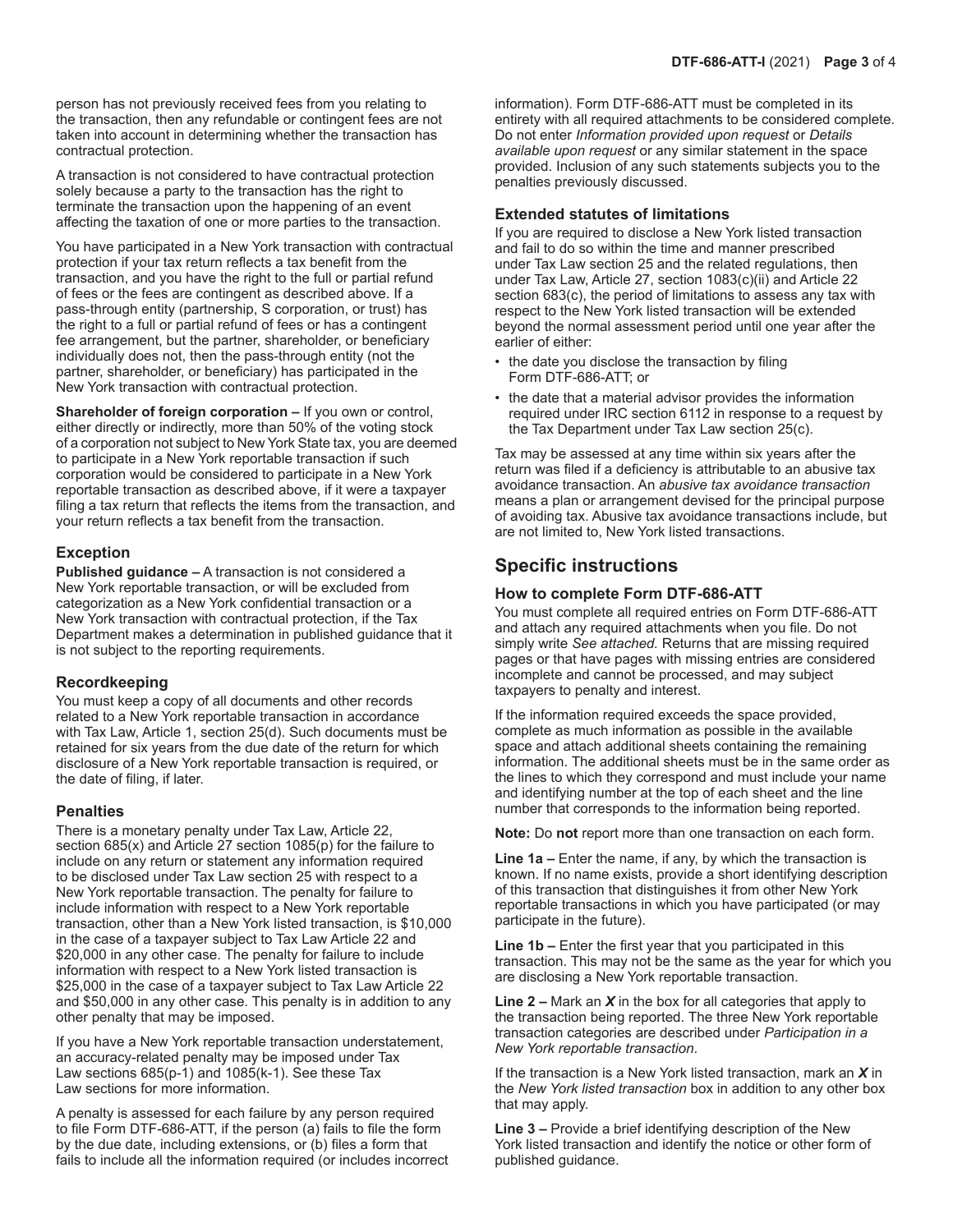person has not previously received fees from you relating to the transaction, then any refundable or contingent fees are not taken into account in determining whether the transaction has contractual protection.

A transaction is not considered to have contractual protection solely because a party to the transaction has the right to terminate the transaction upon the happening of an event affecting the taxation of one or more parties to the transaction.

You have participated in a New York transaction with contractual protection if your tax return reflects a tax benefit from the transaction, and you have the right to the full or partial refund of fees or the fees are contingent as described above. If a pass-through entity (partnership, S corporation, or trust) has the right to a full or partial refund of fees or has a contingent fee arrangement, but the partner, shareholder, or beneficiary individually does not, then the pass-through entity (not the partner, shareholder, or beneficiary) has participated in the New York transaction with contractual protection.

**Shareholder of foreign corporation –** If you own or control, either directly or indirectly, more than 50% of the voting stock of a corporation not subject to New York State tax, you are deemed to participate in a New York reportable transaction if such corporation would be considered to participate in a New York reportable transaction as described above, if it were a taxpayer filing a tax return that reflects the items from the transaction, and your return reflects a tax benefit from the transaction.

#### **Exception**

**Published guidance –** A transaction is not considered a New York reportable transaction, or will be excluded from categorization as a New York confidential transaction or a New York transaction with contractual protection, if the Tax Department makes a determination in published guidance that it is not subject to the reporting requirements.

#### **Recordkeeping**

You must keep a copy of all documents and other records related to a New York reportable transaction in accordance with Tax Law, Article 1, section 25(d). Such documents must be retained for six years from the due date of the return for which disclosure of a New York reportable transaction is required, or the date of filing, if later.

#### **Penalties**

There is a monetary penalty under Tax Law, Article 22, section 685(x) and Article 27 section 1085(p) for the failure to include on any return or statement any information required to be disclosed under Tax Law section 25 with respect to a New York reportable transaction. The penalty for failure to include information with respect to a New York reportable transaction, other than a New York listed transaction, is \$10,000 in the case of a taxpayer subject to Tax Law Article 22 and \$20,000 in any other case. The penalty for failure to include information with respect to a New York listed transaction is \$25,000 in the case of a taxpayer subject to Tax Law Article 22 and \$50,000 in any other case. This penalty is in addition to any other penalty that may be imposed.

If you have a New York reportable transaction understatement, an accuracy-related penalty may be imposed under Tax Law sections 685(p-1) and 1085(k-1). See these Tax Law sections for more information.

A penalty is assessed for each failure by any person required to file Form DTF-686-ATT, if the person (a) fails to file the form by the due date, including extensions, or (b) files a form that fails to include all the information required (or includes incorrect information). Form DTF-686-ATT must be completed in its entirety with all required attachments to be considered complete. Do not enter *Information provided upon request* or *Details available upon request* or any similar statement in the space provided. Inclusion of any such statements subjects you to the penalties previously discussed.

# **Extended statutes of limitations**

If you are required to disclose a New York listed transaction and fail to do so within the time and manner prescribed under Tax Law section 25 and the related regulations, then under Tax Law, Article 27, section 1083(c)(ii) and Article 22 section 683(c), the period of limitations to assess any tax with respect to the New York listed transaction will be extended beyond the normal assessment period until one year after the earlier of either:

- the date you disclose the transaction by filing Form DTF-686-ATT; or
- the date that a material advisor provides the information required under IRC section 6112 in response to a request by the Tax Department under Tax Law section 25(c).

Tax may be assessed at any time within six years after the return was filed if a deficiency is attributable to an abusive tax avoidance transaction. An *abusive tax avoidance transaction* means a plan or arrangement devised for the principal purpose of avoiding tax. Abusive tax avoidance transactions include, but are not limited to, New York listed transactions.

# **Specific instructions**

#### **How to complete Form DTF-686-ATT**

You must complete all required entries on Form DTF-686-ATT and attach any required attachments when you file. Do not simply write *See attached.* Returns that are missing required pages or that have pages with missing entries are considered incomplete and cannot be processed, and may subject taxpayers to penalty and interest.

If the information required exceeds the space provided. complete as much information as possible in the available space and attach additional sheets containing the remaining information. The additional sheets must be in the same order as the lines to which they correspond and must include your name and identifying number at the top of each sheet and the line number that corresponds to the information being reported.

**Note:** Do **not** report more than one transaction on each form.

**Line 1a –** Enter the name, if any, by which the transaction is known. If no name exists, provide a short identifying description of this transaction that distinguishes it from other New York reportable transactions in which you have participated (or may participate in the future).

**Line 1b –** Enter the first year that you participated in this transaction. This may not be the same as the year for which you are disclosing a New York reportable transaction.

**Line 2 –** Mark an *X* in the box for all categories that apply to the transaction being reported. The three New York reportable transaction categories are described under *Participation in a New York reportable transaction*.

If the transaction is a New York listed transaction, mark an *X* in the *New York listed transaction* box in addition to any other box that may apply.

**Line 3 –** Provide a brief identifying description of the New York listed transaction and identify the notice or other form of published guidance.